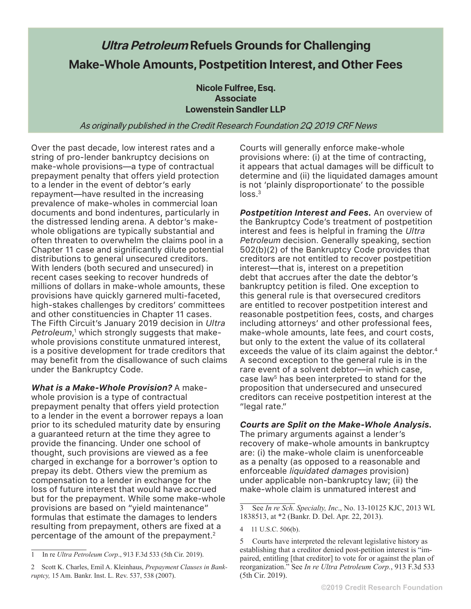## **Ultra Petroleum Refuels Grounds for Challenging Make-Whole Amounts, Postpetition Interest, and Other Fees**

**Nicole Fulfree, Esq. Associate Lowenstein Sandler LLP**

As originally published in the Credit Research Foundation 2Q 2019 CRF News

Over the past decade, low interest rates and a string of pro-lender bankruptcy decisions on make-whole provisions—a type of contractual prepayment penalty that offers yield protection to a lender in the event of debtor's early repayment—have resulted in the increasing prevalence of make-wholes in commercial loan documents and bond indentures, particularly in the distressed lending arena. A debtor's makewhole obligations are typically substantial and often threaten to overwhelm the claims pool in a Chapter 11 case and significantly dilute potential distributions to general unsecured creditors. With lenders (both secured and unsecured) in recent cases seeking to recover hundreds of millions of dollars in make-whole amounts, these provisions have quickly garnered multi-faceted, high-stakes challenges by creditors' committees and other constituencies in Chapter 11 cases. The Fifth Circuit's January 2019 decision in *Ultra Petroleum*, 1 which strongly suggests that makewhole provisions constitute unmatured interest, is a positive development for trade creditors that may benefit from the disallowance of such claims under the Bankruptcy Code.

*What is a Make-Whole Provision?* A makewhole provision is a type of contractual prepayment penalty that offers yield protection to a lender in the event a borrower repays a loan prior to its scheduled maturity date by ensuring a guaranteed return at the time they agree to provide the financing. Under one school of thought, such provisions are viewed as a fee charged in exchange for a borrower's option to prepay its debt. Others view the premium as compensation to a lender in exchange for the loss of future interest that would have accrued but for the prepayment. While some make-whole provisions are based on "yield maintenance" formulas that estimate the damages to lenders resulting from prepayment, others are fixed at a percentage of the amount of the prepayment. $2$ 

Courts will generally enforce make-whole provisions where: (i) at the time of contracting, it appears that actual damages will be difficult to determine and (ii) the liquidated damages amount is not 'plainly disproportionate' to the possible  $loss<sup>3</sup>$ 

*Postpetition Interest and Fees.* An overview of the Bankruptcy Code's treatment of postpetition interest and fees is helpful in framing the *Ultra Petroleum* decision. Generally speaking, section 502(b)(2) of the Bankruptcy Code provides that creditors are not entitled to recover postpetition interest—that is, interest on a prepetition debt that accrues after the date the debtor's bankruptcy petition is filed. One exception to this general rule is that oversecured creditors are entitled to recover postpetition interest and reasonable postpetition fees, costs, and charges including attorneys' and other professional fees, make-whole amounts, late fees, and court costs, but only to the extent the value of its collateral exceeds the value of its claim against the debtor.<sup>4</sup> A second exception to the general rule is in the rare event of a solvent debtor—in which case, case law<sup>5</sup> has been interpreted to stand for the proposition that undersecured and unsecured creditors can receive postpetition interest at the "legal rate."

## *Courts are Split on the Make-Whole Analysis.*

The primary arguments against a lender's recovery of make-whole amounts in bankruptcy are: (i) the make-whole claim is unenforceable as a penalty (as opposed to a reasonable and enforceable *liquidated damages* provision) under applicable non-bankruptcy law; (ii) the make-whole claim is unmatured interest and

<sup>1</sup> In re *Ultra Petroleum Corp*., 913 F.3d 533 (5th Cir. 2019).

<sup>2</sup> Scott K. Charles, Emil A. Kleinhaus, *Prepayment Clauses in Bankruptcy,* 15 Am. Bankr. Inst. L. Rev. 537, 538 (2007).

<sup>3</sup> See *In re Sch. Specialty, Inc*., No. 13-10125 KJC, 2013 WL 1838513, at \*2 (Bankr. D. Del. Apr. 22, 2013).

<sup>4 11</sup> U.S.C. 506(b).

<sup>5</sup> Courts have interpreted the relevant legislative history as establishing that a creditor denied post-petition interest is "impaired, entitling [that creditor] to vote for or against the plan of reorganization." See *In re Ultra Petroleum Corp.*, 913 F.3d 533 (5th Cir. 2019).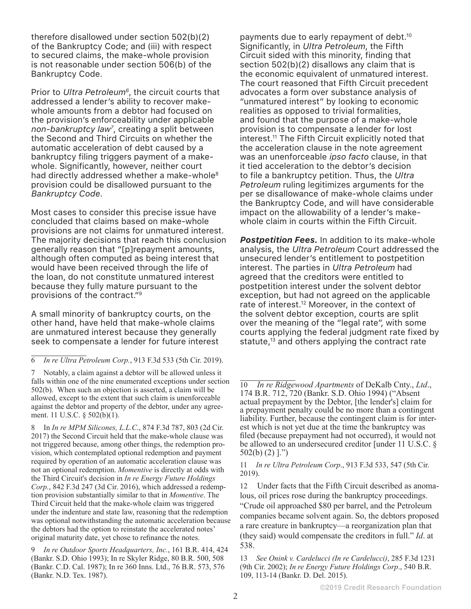therefore disallowed under section 502(b)(2) of the Bankruptcy Code; and (iii) with respect to secured claims, the make-whole provision is not reasonable under section 506(b) of the Bankruptcy Code.

Prior to *Ultra Petroleum<sup>6</sup>*, the circuit courts that addressed a lender's ability to recover makewhole amounts from a debtor had focused on the provision's enforceability under applicable *non-bankruptcy law7* , creating a split between the Second and Third Circuits on whether the automatic acceleration of debt caused by a bankruptcy filing triggers payment of a makewhole. Significantly, however, neither court had directly addressed whether a make-whole<sup>8</sup> provision could be disallowed pursuant to the *Bankruptcy Code*.

Most cases to consider this precise issue have concluded that claims based on make-whole provisions are not claims for unmatured interest. The majority decisions that reach this conclusion generally reason that "[p]repayment amounts, although often computed as being interest that would have been received through the life of the loan, do not constitute unmatured interest because they fully mature pursuant to the provisions of the contract."9

A small minority of bankruptcy courts, on the other hand, have held that make-whole claims are unmatured interest because they generally seek to compensate a lender for future interest

8 In *In re MPM Silicones, L.L.C*., 874 F.3d 787, 803 (2d Cir. 2017) the Second Circuit held that the make-whole clause was not triggered because, among other things, the redemption provision, which contemplated optional redemption and payment required by operation of an automatic acceleration clause was not an optional redemption. *Momentive* is directly at odds with the Third Circuit's decision in *In re Energy Future Holdings Corp.*, 842 F.3d 247 (3d Cir. 2016), which addressed a redemption provision substantially similar to that in *Momentive*. The Third Circuit held that the make-whole claim was triggered under the indenture and state law, reasoning that the redemption was optional notwithstanding the automatic acceleration because the debtors had the option to reinstate the accelerated notes' original maturity date, yet chose to refinance the notes.

9 *In re Outdoor Sports Headquarters, Inc.*, 161 B.R. 414, 424 (Bankr. S.D. Ohio 1993); In re Skyler Ridge, 80 B.R. 500, 508 (Bankr. C.D. Cal. 1987); In re 360 Inns. Ltd., 76 B.R. 573, 576 (Bankr. N.D. Tex. 1987).

payments due to early repayment of debt.10 Significantly, in *Ultra Petroleum*, the Fifth Circuit sided with this minority, finding that section 502(b)(2) disallows any claim that is the economic equivalent of unmatured interest. The court reasoned that Fifth Circuit precedent advocates a form over substance analysis of "unmatured interest" by looking to economic realities as opposed to trivial formalities, and found that the purpose of a make-whole provision is to compensate a lender for lost interest.11 The Fifth Circuit explicitly noted that the acceleration clause in the note agreement was an unenforceable *ipso facto* clause, in that it tied acceleration to the debtor's decision to file a bankruptcy petition. Thus, the *Ultra Petroleum* ruling legitimizes arguments for the per se disallowance of make-whole claims under the Bankruptcy Code, and will have considerable impact on the allowability of a lender's makewhole claim in courts within the Fifth Circuit.

*Postpetition Fees.* In addition to its make-whole analysis, the *Ultra Petroleum* Court addressed the unsecured lender's entitlement to postpetition interest. The parties in *Ultra Petroleum* had agreed that the creditors were entitled to postpetition interest under the solvent debtor exception, but had not agreed on the applicable rate of interest.<sup>12</sup> Moreover, in the context of the solvent debtor exception, courts are split over the meaning of the "legal rate", with some courts applying the federal judgment rate fixed by statute, $13$  and others applying the contract rate

<sup>6</sup> *In re Ultra Petroleum Corp.*, 913 F.3d 533 (5th Cir. 2019).

<sup>7</sup> Notably, a claim against a debtor will be allowed unless it falls within one of the nine enumerated exceptions under section 502(b). When such an objection is asserted, a claim will be allowed, except to the extent that such claim is unenforceable against the debtor and property of the debtor, under any agreement. 11 U.S.C. § 502(b)(1).

<sup>10</sup> *In re Ridgewood Apartments* of DeKalb Cnty., *Ltd*., 174 B.R. 712, 720 (Bankr. S.D. Ohio 1994) ("Absent actual prepayment by the Debtor, [the lender's] claim for a prepayment penalty could be no more than a contingent liability. Further, because the contingent claim is for interest which is not yet due at the time the bankruptcy was filed (because prepayment had not occurred), it would not be allowed to an undersecured creditor [under 11 U.S.C. § 502(b) (2) ].")

<sup>11</sup> *In re Ultra Petroleum Corp*., 913 F.3d 533, 547 (5th Cir. 2019).

<sup>12</sup> Under facts that the Fifth Circuit described as anomalous, oil prices rose during the bankruptcy proceedings. "Crude oil approached \$80 per barrel, and the Petroleum companies became solvent again. So, the debtors proposed a rare creature in bankruptcy—a reorganization plan that (they said) would compensate the creditors in full." *Id*. at 538.

<sup>13</sup> *See Onink v. Cardelucci (In re Cardelucci)*, 285 F.3d 1231 (9th Cir. 2002); *In re Energy Future Holdings Corp*., 540 B.R. 109, 113-14 (Bankr. D. Del. 2015).